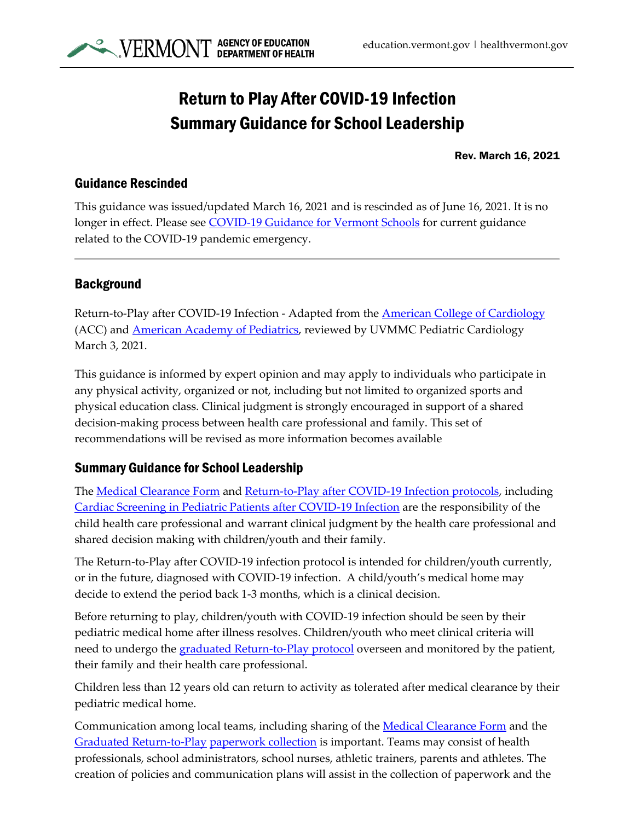

## Return to Play After COVID-19 Infection Summary Guidance for School Leadership

Rev. March 16, 2021

## Guidance Rescinded

This guidance was issued/updated March 16, 2021 and is rescinded as of June 16, 2021. It is no longer in effect. Please see [COVID-19 Guidance for Vermont Schools](https://education.vermont.gov/covid19) for current guidance related to the COVID-19 pandemic emergency.

## **Background**

Return-to-Play after COVID-19 Infection - Adapted from the [American College of Cardiology](https://www.acc.org/latest-in-cardiology/articles/2020/07/13/13/37/returning-to-play-after-coronavirus-infection) (ACC) and **American Academy of Pediatrics**, reviewed by UVMMC Pediatric Cardiology March 3, 2021.

This guidance is informed by expert opinion and may apply to individuals who participate in any physical activity, organized or not, including but not limited to organized sports and physical education class. Clinical judgment is strongly encouraged in support of a shared decision-making process between health care professional and family. This set of recommendations will be revised as more information becomes available

## Summary Guidance for School Leadership

The [Medical Clearance Form](http://contentmanager.med.uvm.edu/docs/clearance_for_return_to_play_after_covid19_infection_current_as_of_3_3_2021/vchip-documents/clearance_for_return_to_play_after_covid19_infection_current_as_of_3_3_2021.pdf?sfvrsn=2ff1ddf2_2) and [Return-to-Play after COVID-19 Infection protocols,](http://contentmanager.med.uvm.edu/docs/return_to_play_after_covid19_current_as_of_3_3_2021/vchip-documents/return_to_play_after_covid19_current_as_of_3_3_2021.pdf?sfvrsn=f62e3b03_2) including [Cardiac Screening in Pediatric Patients after COVID-19 Infection](http://contentmanager.med.uvm.edu/docs/cardiac_screening_in_pediatric_patients_after_covid19_infection_current_as_of_3_3_2021/vchip-documents/cardiac_screening_in_pediatric_patients_after_covid19_infection_current_as_of_3_3_2021.pdf?sfvrsn=d8e57527_2) are the responsibility of the child health care professional and warrant clinical judgment by the health care professional and shared decision making with children/youth and their family.

The Return-to-Play after COVID-19 infection protocol is intended for children/youth currently, or in the future, diagnosed with COVID-19 infection. A child/youth's medical home may decide to extend the period back 1-3 months, which is a clinical decision.

Before returning to play, children/youth with COVID-19 infection should be seen by their pediatric medical home after illness resolves. Children/youth who meet clinical criteria will need to undergo the [graduated Return-to-Play protocol](http://contentmanager.med.uvm.edu/docs/return_to_play_after_covid19_current_as_of_3_3_2021/vchip-documents/return_to_play_after_covid19_current_as_of_3_3_2021.pdf?sfvrsn=f62e3b03_2) overseen and monitored by the patient, their family and their health care professional.

Children less than 12 years old can return to activity as tolerated after medical clearance by their pediatric medical home.

Communication among local teams, including sharing of the [Medical Clearance Form](http://contentmanager.med.uvm.edu/docs/clearance_for_return_to_play_after_covid19_infection_current_as_of_3_3_2021/vchip-documents/clearance_for_return_to_play_after_covid19_infection_current_as_of_3_3_2021.pdf?sfvrsn=2ff1ddf2_2) and the [Graduated Return-to-Play](http://contentmanager.med.uvm.edu/docs/return_to_play_after_covid19_current_as_of_3_3_2021/vchip-documents/return_to_play_after_covid19_current_as_of_3_3_2021.pdf?sfvrsn=f62e3b03_2) [paperwork collection](http://contentmanager.med.uvm.edu/docs/clearance_for_return_to_play_after_covid19_infection_current_as_of_3_3_2021/vchip-documents/clearance_for_return_to_play_after_covid19_infection_current_as_of_3_3_2021.pdf?sfvrsn=2ff1ddf2_2) is important. Teams may consist of health professionals, school administrators, school nurses, athletic trainers, parents and athletes. The creation of policies and communication plans will assist in the collection of paperwork and the